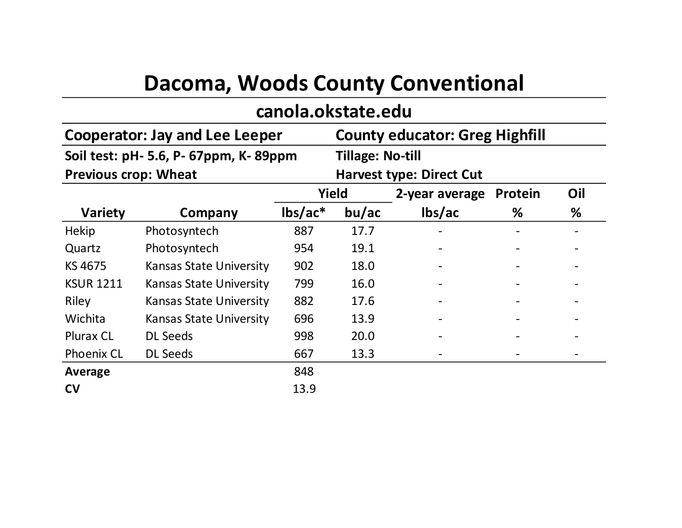| Dacoma, Woods County Conventional |                                       |                                       |       |                |         |     |  |  |  |  |  |
|-----------------------------------|---------------------------------------|---------------------------------------|-------|----------------|---------|-----|--|--|--|--|--|
| canola.okstate.edu                |                                       |                                       |       |                |         |     |  |  |  |  |  |
|                                   | <b>Cooperator: Jay and Lee Leeper</b> | <b>County educator: Greg Highfill</b> |       |                |         |     |  |  |  |  |  |
|                                   | Soil test: pH- 5.6, P- 67ppm, K-89ppm | Tillage: No-till                      |       |                |         |     |  |  |  |  |  |
| <b>Previous crop: Wheat</b>       |                                       | <b>Harvest type: Direct Cut</b>       |       |                |         |     |  |  |  |  |  |
|                                   |                                       | <b>Yield</b>                          |       | 2-year average | Protein | Oil |  |  |  |  |  |
| <b>Variety</b>                    | Company                               | $\text{lbs}/\text{ac}^*$              | bu/ac | lbs/ac         | ℅       | ℅   |  |  |  |  |  |
| <b>Hekip</b>                      | Photosyntech                          | 887                                   | 17.7  |                |         |     |  |  |  |  |  |
| Quartz                            | Photosyntech                          | 954                                   | 19.1  |                |         |     |  |  |  |  |  |
| KS 4675                           | <b>Kansas State University</b>        | 902                                   | 18.0  |                |         |     |  |  |  |  |  |
| <b>KSUR 1211</b>                  | <b>Kansas State University</b>        | 799                                   | 16.0  |                |         |     |  |  |  |  |  |
| Riley                             | <b>Kansas State University</b>        | 882                                   | 17.6  |                |         |     |  |  |  |  |  |
| Wichita                           | <b>Kansas State University</b>        | 696                                   | 13.9  |                |         |     |  |  |  |  |  |
| <b>Plurax CL</b>                  | <b>DL Seeds</b>                       | 998                                   | 20.0  |                |         |     |  |  |  |  |  |
| <b>Phoenix CL</b>                 | <b>DL Seeds</b>                       | 667                                   | 13.3  |                |         |     |  |  |  |  |  |
| Average                           |                                       | 848                                   |       |                |         |     |  |  |  |  |  |
| <b>CV</b>                         |                                       | 13.9                                  |       |                |         |     |  |  |  |  |  |